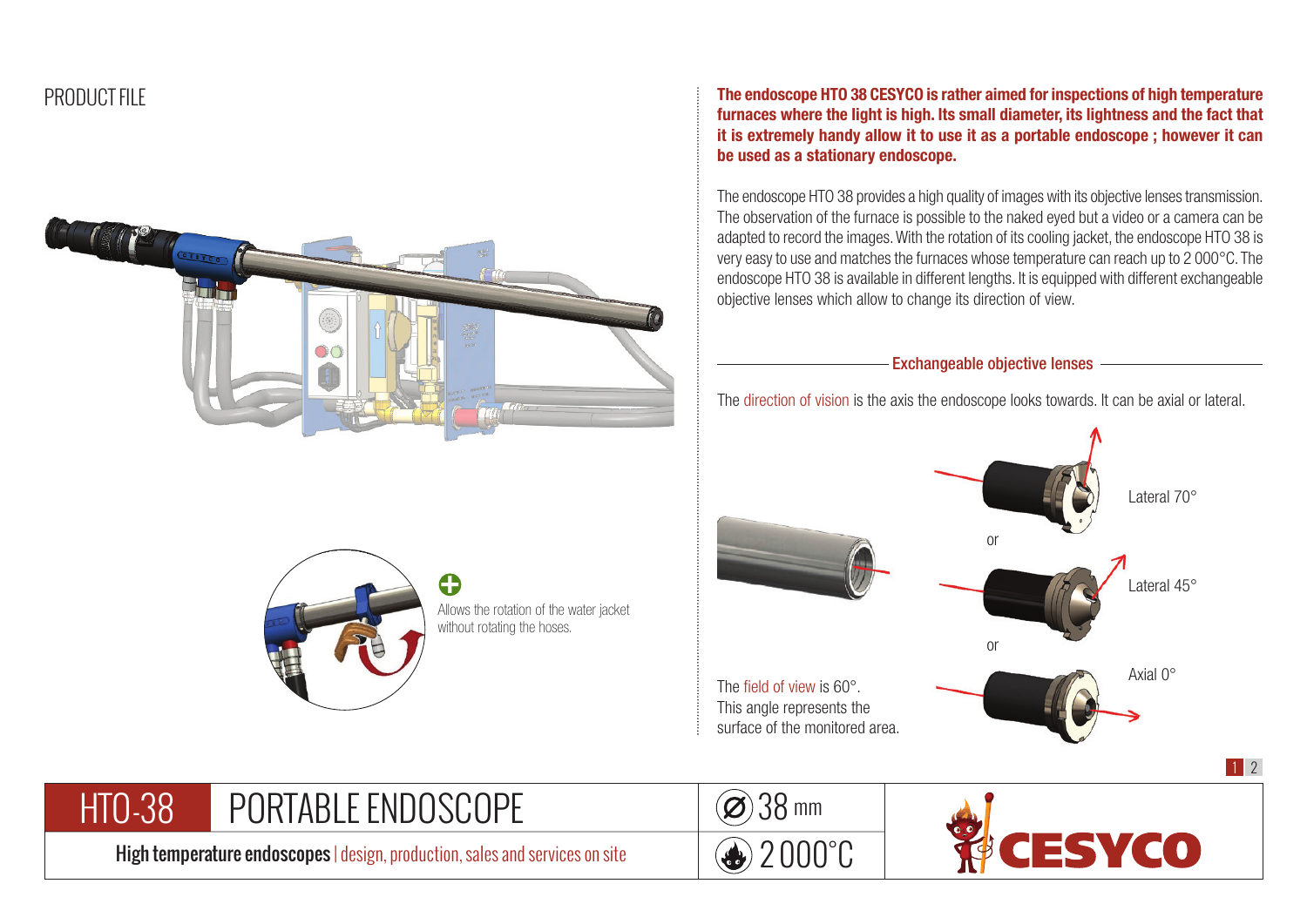

The endoscope HTO 38 CESYCO is rather aimed for inspections of high temperature furnaces where the light is high. Its small diameter, its lightness and the fact that it is extremely handy allow it to use it as a portable endoscope ; however it can be used as a stationary endoscope.

The endoscope HTO 38 provides a high quality of images with its objective lenses transmission. The observation of the furnace is possible to the naked eyed but a video or a camera can be adapted to record the images. With the rotation of its cooling jacket, the endoscope HTO 38 is very easy to use and matches the furnaces whose temperature can reach up to 2 000°C. The endoscope HTO 38 is available in different lengths. It is equipped with different exchangeable objective lenses which allow to change its direction of view.

Exchangeable objective lenses

The direction of vision is the axis the endoscope looks towards. It can be axial or lateral.





Allows the rotation of the water jacket without rotating the hoses.

+

PORTABLE ENDOSCOPE HTO-38

High temperature endoscopes | design, production, sales and services on site

![](_page_0_Picture_10.jpeg)

![](_page_0_Picture_11.jpeg)